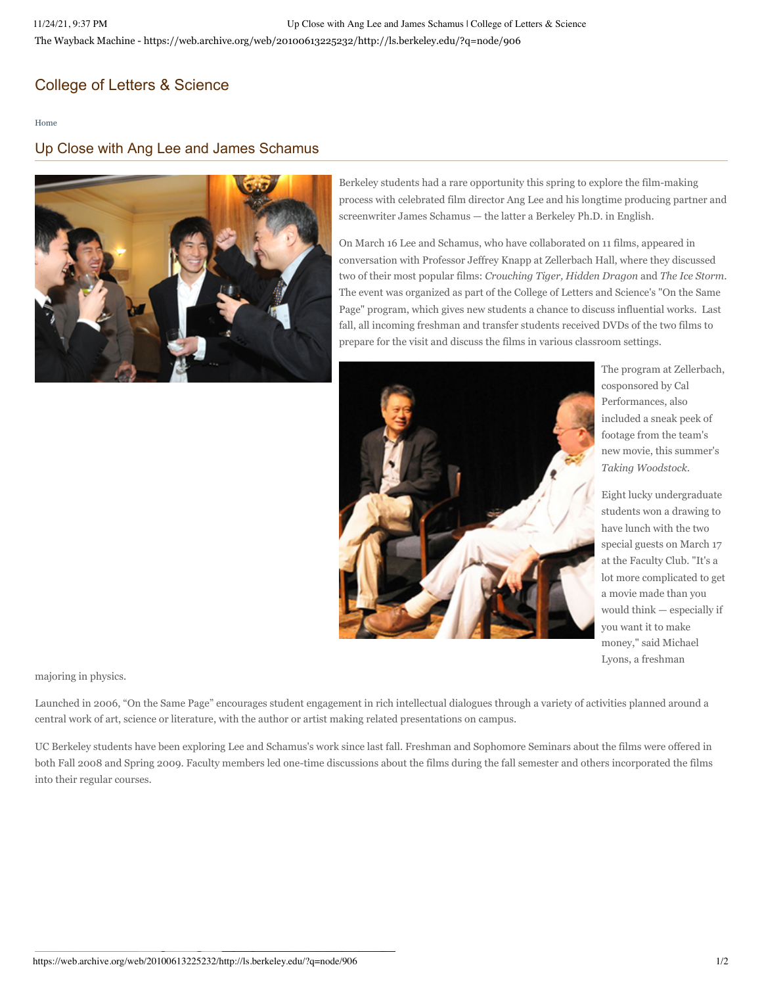## [College of Letters & Science](https://web.archive.org/web/20100613225232/http://ls.berkeley.edu/)

[Home](https://web.archive.org/web/20100613225232/http://ls.berkeley.edu/)

## Up Close with Ang Lee and James Schamus



Berkeley students had a rare opportunity this spring to explore the film-making process with celebrated film director Ang Lee and his longtime producing partner and screenwriter James Schamus — the latter a Berkeley Ph.D. in English.

On March 16 Lee and Schamus, who have collaborated on 11 films, appeared in conversation with Professor Jeffrey Knapp at Zellerbach Hall, where they discussed two of their most popular films: *Crouching Tiger, Hidden Dragon* and *The Ice Storm*. The event was organized as part of the College of Letters and Science's "On the Same Page" program, which gives new students a chance to discuss influential works. Last fall, all incoming freshman and transfer students received DVDs of the two films to prepare for the visit and discuss the films in various classroom settings.



The program at Zellerbach, cosponsored by Cal Performances, also included a sneak peek of footage from the team's new movie, this summer's *Taking Woodstock.*

Eight lucky undergraduate students won a drawing to have lunch with the two special guests on March 17 at the Faculty Club. "It's a lot more complicated to get a movie made than you would think — especially if you want it to make money," said Michael Lyons, a freshman

majoring in physics.

Launched in 2006, "On the Same Page" encourages student engagement in rich intellectual dialogues through a variety of activities planned around a central work of art, science or literature, with the author or artist making related presentations on campus.

UC Berkeley students have been exploring Lee and Schamus's work since last fall. Freshman and Sophomore Seminars about the films were offered in both Fall 2008 and Spring 2009. Faculty members led one-time discussions about the films during the fall semester and others incorporated the films into their regular courses.